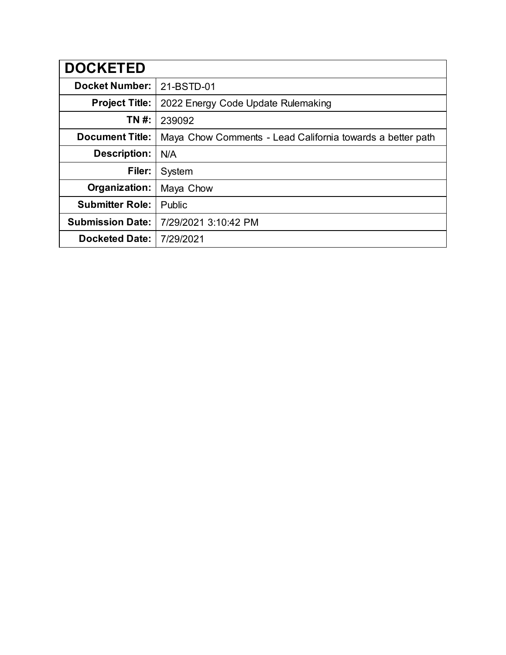| <b>DOCKETED</b>         |                                                            |
|-------------------------|------------------------------------------------------------|
| <b>Docket Number:</b>   | 21-BSTD-01                                                 |
| <b>Project Title:</b>   | 2022 Energy Code Update Rulemaking                         |
| TN #:                   | 239092                                                     |
| <b>Document Title:</b>  | Maya Chow Comments - Lead California towards a better path |
| Description:            | N/A                                                        |
| Filer:                  | System                                                     |
| Organization:           | Maya Chow                                                  |
| <b>Submitter Role:</b>  | Public                                                     |
| <b>Submission Date:</b> | 7/29/2021 3:10:42 PM                                       |
| <b>Docketed Date:</b>   | 7/29/2021                                                  |